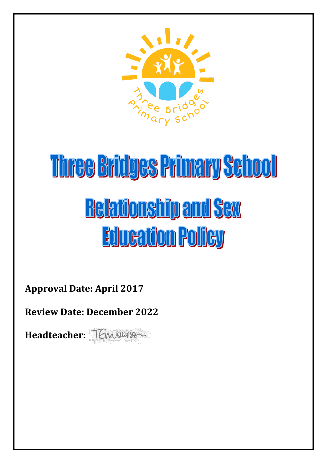

# Three Bridges Primary School **Relationship and Sex Education Policy**

**Approval Date: April 2017**

**Review Date: December 2022**

**Headteacher:**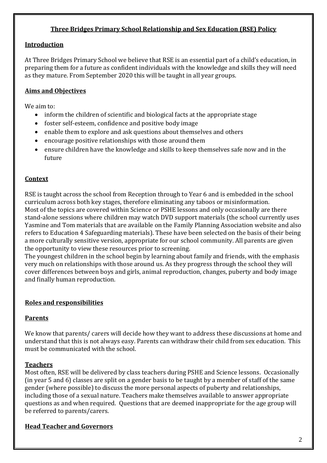### **Three Bridges Primary School Relationship and Sex Education (RSE) Policy**

## **Introduction**

At Three Bridges Primary School we believe that RSE is an essential part of a child's education, in preparing them for a future as confident individuals with the knowledge and skills they will need as they mature. From September 2020 this will be taught in all year groups.

## **Aims and Objectives**

We aim to:

- inform the children of scientific and biological facts at the appropriate stage
- foster self-esteem, confidence and positive body image
- enable them to explore and ask questions about themselves and others
- encourage positive relationships with those around them
- ensure children have the knowledge and skills to keep themselves safe now and in the future

## **Context**

RSE is taught across the school from Reception through to Year 6 and is embedded in the school curriculum across both key stages, therefore eliminating any taboos or misinformation. Most of the topics are covered within Science or PSHE lessons and only occasionally are there stand-alone sessions where children may watch DVD support materials (the school currently uses Yasmine and Tom materials that are available on the Family Planning Association website and also refers to Education 4 Safeguarding materials). These have been selected on the basis of their being a more culturally sensitive version, appropriate for our school community. All parents are given the opportunity to view these resources prior to screening.

The youngest children in the school begin by learning about family and friends, with the emphasis very much on relationships with those around us. As they progress through the school they will cover differences between boys and girls, animal reproduction, changes, puberty and body image and finally human reproduction.

#### **Roles and responsibilities**

#### **Parents**

We know that parents/ carers will decide how they want to address these discussions at home and understand that this is not always easy. Parents can withdraw their child from sex education. This must be communicated with the school.

#### **Teachers**

Most often, RSE will be delivered by class teachers during PSHE and Science lessons. Occasionally (in year 5 and 6) classes are split on a gender basis to be taught by a member of staff of the same gender (where possible) to discuss the more personal aspects of puberty and relationships, including those of a sexual nature. Teachers make themselves available to answer appropriate questions as and when required. Questions that are deemed inappropriate for the age group will be referred to parents/carers.

## **Head Teacher and Governors**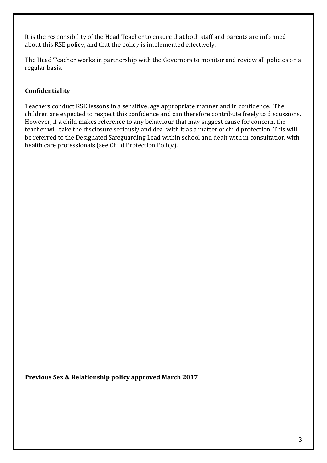It is the responsibility of the Head Teacher to ensure that both staff and parents are informed about this RSE policy, and that the policy is implemented effectively.

The Head Teacher works in partnership with the Governors to monitor and review all policies on a regular basis.

## **Confidentiality**

Teachers conduct RSE lessons in a sensitive, age appropriate manner and in confidence. The children are expected to respect this confidence and can therefore contribute freely to discussions. However, if a child makes reference to any behaviour that may suggest cause for concern, the teacher will take the disclosure seriously and deal with it as a matter of child protection. This will be referred to the Designated Safeguarding Lead within school and dealt with in consultation with health care professionals (see Child Protection Policy).

**Previous Sex & Relationship policy approved March 2017**